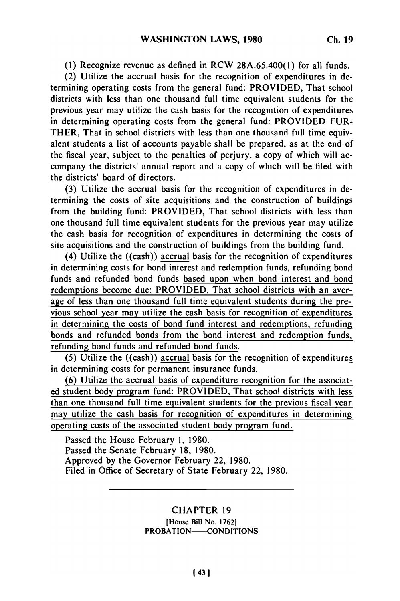**(1)** Recognize revenue as defined in RCW 28A.65.400(1) for all funds.

(2) Utilize the accrual basis for the recognition of expenditures in determining operating costs from the general fund: PROVIDED, That school districts with less than one thousand full time equivalent students for the previous year may utilize the cash basis for the recognition of expenditures in determining operating costs from the general fund: PROVIDED FUR-THER, That in school districts with less than one thousand full time equivalent students a list of accounts payable shall be prepared, as at the end of the fiscal year, subject to the penalties of perjury, a copy of which will accompany the districts' annual report and a copy of which will be filed with the districts' board of directors.

(3) Utilize the accrual basis for the recognition of expenditures in determining the costs of site acquisitions and the construction of buildings from the building fund: PROVIDED, That school districts with less than one thousand full time equivalent students for the previous year may utilize the cash basis for recognition of expenditures in determining the costs of site acquisitions and the construction of buildings from the building fund.

(4) Utilize the  $((cash))$  accrual basis for the recognition of expenditures in determining costs for bond interest and redemption funds, refunding bond funds and refunded bond funds based upon when bond interest and bond redemptions become due: PROVIDED, That school districts with an average of less than one thousand full time equivalent students during the previous school year may utilize the cash basis for recognition of expenditures in determining the costs of bond fund interest and redemptions, refunding bonds and refunded bonds from the bond interest and redemption funds, refunding bond funds and refunded bond funds.

(5) Utilize the ((cash)) accrual basis for the recognition of expenditures in determining costs for permanent insurance funds.

**(6)** Utilize the accrual basis of expenditure recognition for the associated student body program fund: PROVIDED, That school districts with less than one thousand full time equivalent students for the previous fiscal year may utilize the cash basis for recognition of expenditures in determining operating costs of the associated student body program fund.

Passed the House February 1, 1980. Passed the Senate February 18, 1980. Approved by the Governor February 22, 1980. Filed in Office of Secretary of State February 22, 1980.

## CHAPTER 19

(House Bill No. 17621 PROBATION-CONDITIONS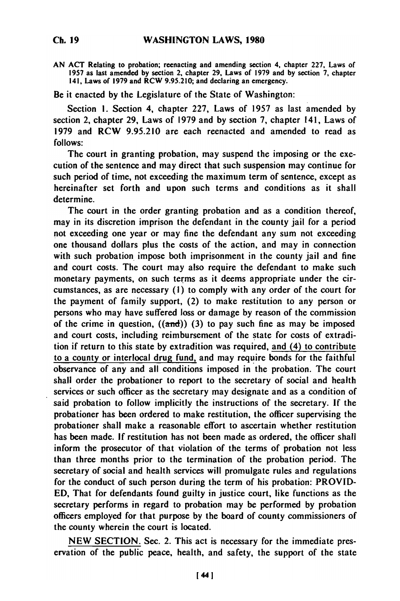**AN ACT** Relating to probation; reenacting and amending section 4, chapter **227,** Laws of **1957** as last amended **by** section 2, chapter **29,** Laws of **1979** and **by** section **7,** chapter 141, Laws of **1979** and RCW **9.95.210;** and declaring an emergency.

Be it enacted **by** the Legislature of the State of Washington:

Section **1.** Section 4, chapter **227,** Laws of **1957** as last amended **by** section 2, chapter **29,** Laws of **1979** and **by** section **7,** chapter 141, Laws of **1979** and RCW **9.95.210** are each reenacted and amended to read as **follows:**

The court in granting probation, may suspend the imposing or the execution of the sentence and may direct that such suspension may continue for such period of time, not exceeding the maximum term of sentence, except as hereinafter set forth and upon such terms and conditions as it shall determine.

The court in the order granting probation and as a condition thereof, may in its discretion imprison the defendant in the county jail for a period not exceeding one year or may fine the defendant any sum not exceeding one thousand dollars plus the costs of the action, and may in connection with such probation impose both imprisonment in the county jail and fine and court costs. The court may also require the defendant to make such monetary payments, on such terms as it deems appropriate under the circumstances, as are necessary **(1)** to comply with any order of the court for the payment of family support, (2) to make restitution to any person or persons who may have suffered loss or damage **by** reason of the commission of the crime in question,  $((\text{and}))$  (3) to pay such fine as may be imposed and court costs, including reimbursement of the state for costs of extradition if return to this state **by** extradition was required, and (4) to contribute to a county or interlocal drug fund, and may require bonds for the faithful observance of any and all conditions imposed in the probation. The court shall order the probationer to report to the secretary of social and health services or such officer as the secretary may designate and as a condition of said probation to follow implicitly the instructions of the secretary. **If** the probationer has been ordered to make restitution, the officer supervising the probationer shall make a reasonable effort to ascertain whether restitution has been made. **If** restitution has not been made as ordered, the officer shall inform the prosecutor of that violation of the terms of probation not less than three months prior to the termination of the probation period. The secretary of social and health services will promulgate rules and regulations for the conduct of such person during the term of his probation: PROVID-**ED,** That for defendants found guilty in justice court, like functions as the secretary performs in regard to probation may **be** performed **by** probation officers employed for that purpose **by** the board of county commissioners of the county wherein the court is located.

**NEW** SECTION. Sec. 2. This act is necessary for the immediate preservation of the public peace, health, and safety, the support of the state